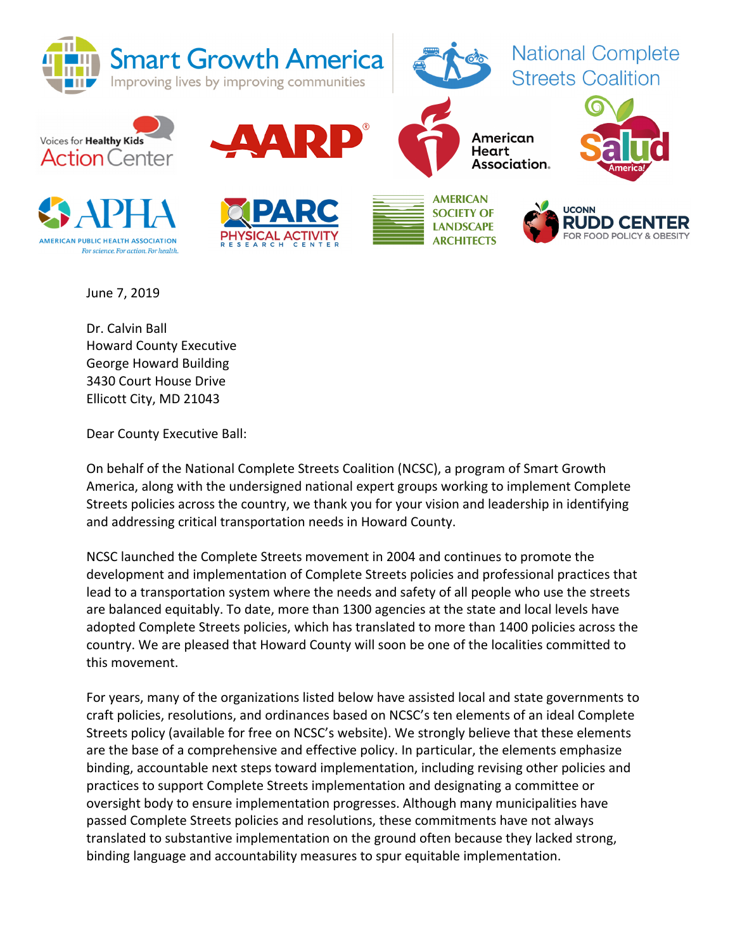

June 7, 2019

Dr. Calvin Ball Howard County Executive George Howard Building 3430 Court House Drive Ellicott City, MD 21043

Dear County Executive Ball:

On behalf of the National Complete Streets Coalition (NCSC), a program of Smart Growth America, along with the undersigned national expert groups working to implement Complete Streets policies across the country, we thank you for your vision and leadership in identifying and addressing critical transportation needs in Howard County.

NCSC launched the Complete Streets movement in 2004 and continues to promote the development and implementation of Complete Streets policies and professional practices that lead to a transportation system where the needs and safety of all people who use the streets are balanced equitably. To date, more than 1300 agencies at the state and local levels have adopted Complete Streets policies, which has translated to more than 1400 policies across the country. We are pleased that Howard County will soon be one of the localities committed to this movement.

For years, many of the organizations listed below have assisted local and state governments to craft policies, resolutions, and ordinances based on NCSC's ten elements of an ideal Complete Streets policy (available for free on NCSC's website). We strongly believe that these elements are the base of a comprehensive and effective policy. In particular, the elements emphasize binding, accountable next steps toward implementation, including revising other policies and practices to support Complete Streets implementation and designating a committee or oversight body to ensure implementation progresses. Although many municipalities have passed Complete Streets policies and resolutions, these commitments have not always translated to substantive implementation on the ground often because they lacked strong, binding language and accountability measures to spur equitable implementation.